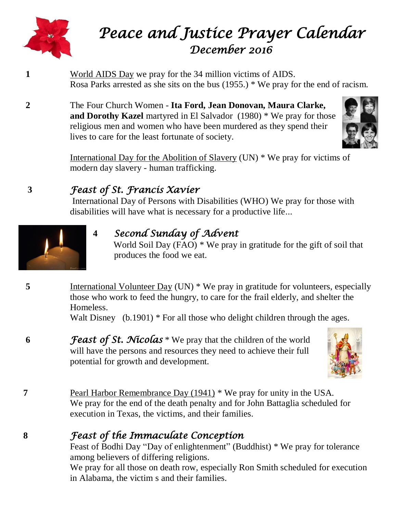

# *Peace and Justice Prayer Calendar December 2016*

- **1** World AIDS Day we pray for the 34 million victims of AIDS. Rosa Parks arrested as she sits on the bus (1955.) \* We pray for the end of racism.
- **2** The Four Church Women **Ita Ford, Jean Donovan, Maura Clarke, and Dorothy Kazel** martyred in El Salvador (1980) \* We pray for those religious men and women who have been murdered as they spend their lives to care for the least fortunate of society.



International Day for the Abolition of Slavery (UN) \* We pray for victims of modern day slavery - human trafficking.

# **3** *Feast of St. Francis Xavier*

International Day of Persons with Disabilities (WHO) We pray for those with disabilities will have what is necessary for a productive life...



# **4** *Second Sunday of Advent*

World Soil Day (FAO) \* We pray in gratitude for the gift of soil that produces the food we eat.

**5** International Volunteer Day (UN) \* We pray in gratitude for volunteers, especially those who work to feed the hungry, to care for the frail elderly, and shelter the Homeless.

Walt Disney (b.1901) \* For all those who delight children through the ages.

**6** *Feast of St. Nicolas* \* We pray that the children of the world will have the persons and resources they need to achieve their full potential for growth and development.



**7** Pearl Harbor Remembrance Day (1941) \* We pray for unity in the USA. We pray for the end of the death penalty and for John Battaglia scheduled for execution in Texas, the victims, and their families.

# **8** *Feast of the Immaculate Conception*

Feast of Bodhi Day "Day of enlightenment" (Buddhist) \* We pray for tolerance among believers of differing religions.

We pray for all those on death row, especially Ron Smith scheduled for execution in Alabama, the victim s and their families.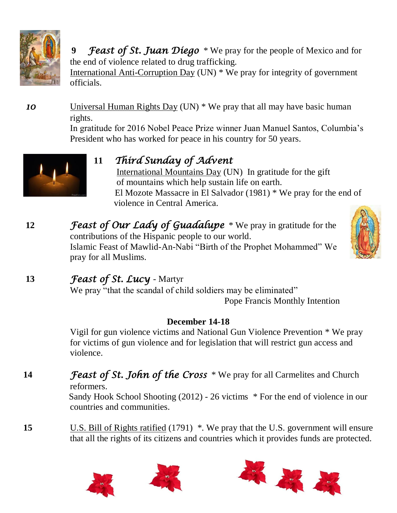

 **9** *Feast of St. Juan Diego* \* We pray for the people of Mexico and for the end of violence related to drug trafficking.

International Anti-Corruption Day (UN) \* We pray for integrity of government officials.

*10* Universal Human Rights Day (UN) \* We pray that all may have basic human rights.

> In gratitude for 2016 Nobel Peace Prize winner Juan Manuel Santos, Columbia's President who has worked for peace in his country for 50 years.



**11** *Third Sunday of Advent*

 International Mountains Day (UN) In gratitude for the gift of mountains which help sustain life on earth. El Mozote Massacre in El Salvador (1981) \* We pray for the end of violence in Central America.

**12** *Feast of Our Lady of Guadalupe* \* We pray in gratitude for the contributions of the Hispanic people to our world. Islamic Feast of Mawlid-An-Nabi "Birth of the Prophet Mohammed" We pray for all Muslims.



## **13** *Feast of St. Lucy* - Martyr

We pray "that the scandal of child soldiers may be eliminated" Pope Francis Monthly Intention

#### **December 14-18**

Vigil for gun violence victims and National Gun Violence Prevention \* We pray for victims of gun violence and for legislation that will restrict gun access and violence.

# **14** *Feast of St. John of the Cross* \* We pray for all Carmelites and Church

reformers.

Sandy Hook School Shooting (2012) - 26 victims \* For the end of violence in our countries and communities.

**15** U.S. Bill of Rights ratified (1791) \*. We pray that the U.S. government will ensure that all the rights of its citizens and countries which it provides funds are protected.





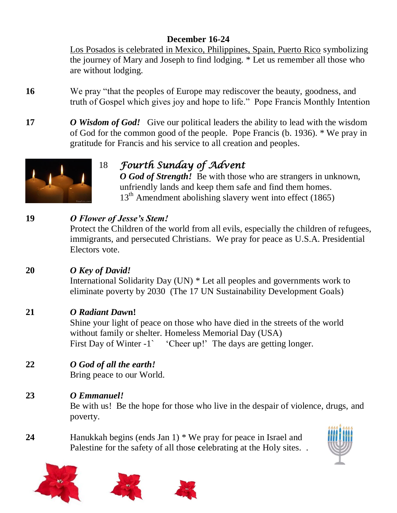#### **December 16-24**

Los Posados is celebrated in Mexico, Philippines, Spain, Puerto Rico symbolizing the journey of Mary and Joseph to find lodging. \* Let us remember all those who are without lodging.

- **16** We pray "that the peoples of Europe may rediscover the beauty, goodness, and truth of Gospel which gives joy and hope to life." Pope Francis Monthly Intention
- **17** *O* **Wisdom of God! Give our political leaders the ability to lead with the wisdom** of God for the common good of the people. Pope Francis (b. 1936). \* We pray in gratitude for Francis and his service to all creation and peoples.



# 18 *Fourth Sunday of Advent*

*O* God of Strength! Be with those who are strangers in unknown, unfriendly lands and keep them safe and find them homes. 13<sup>th</sup> Amendment abolishing slavery went into effect (1865)

### **19** *O Flower of Jesse's Stem!*

Protect the Children of the world from all evils, especially the children of refugees, immigrants, and persecuted Christians. We pray for peace as U.S.A. Presidential Electors vote.

#### **20** *O Key of David!*

International Solidarity Day (UN) \* Let all peoples and governments work to eliminate poverty by 2030 (The 17 UN Sustainability Development Goals)

#### **21** *O Radiant Daw***n!**

Shine your light of peace on those who have died in the streets of the world without family or shelter. Homeless Memorial Day (USA) First Day of Winter -1` 'Cheer up!' The days are getting longer.

## **22** *O God of all the earth!*

Bring peace to our World.

#### **23** *O Emmanuel!*

Be with us! Be the hope for those who live in the despair of violence, drugs, and poverty.

**24** Hanukkah begins (ends Jan 1) \* We pray for peace in Israel and Palestine for the safety of all those **c**elebrating at the Holy sites. .